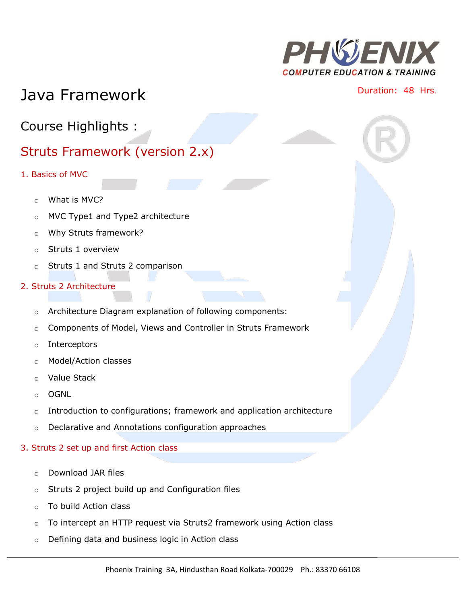

# Java Framework **Duration:** 48 Hrs.

Course Highlights :

## Struts Framework (version 2.x)

- 1. Basics of MVC
	- o What is MVC?
	- o MVC Type1 and Type2 architecture
	- o Why Struts framework?
	- o Struts 1 overview
	- o Struts 1 and Struts 2 comparison

## 2. Struts 2 Architecture

- o Architecture Diagram explanation of following components:
- o Components of Model, Views and Controller in Struts Framework
- o Interceptors
- o Model/Action classes
- o Value Stack
- o OGNL
- o Introduction to configurations; framework and application architecture
- o Declarative and Annotations configuration approaches

## 3. Struts 2 set up and first Action class

- o Download JAR files
- o Struts 2 project build up and Configuration files
- o To build Action class
- $\circ$  To intercept an HTTP request via Struts2 framework using Action class
- o Defining data and business logic in Action class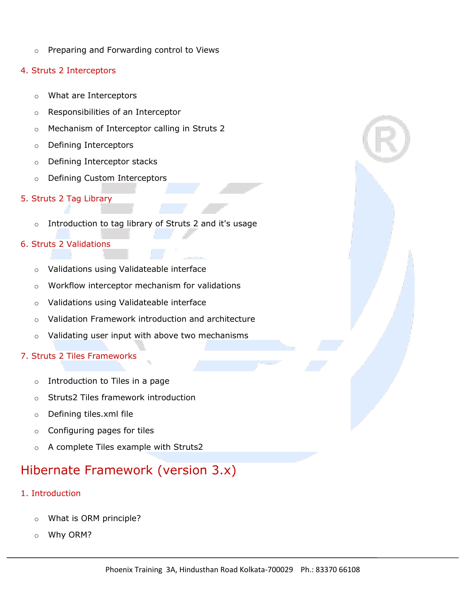o Preparing and Forwarding control to Views

## 4. Struts 2 Interceptors

- o What are Interceptors
- o Responsibilities of an Interceptor
- o Mechanism of Interceptor calling in Struts 2
- o Defining Interceptors
- o Defining Interceptor stacks
- o Defining Custom Interceptors

## 5. Struts 2 Tag Library

o Introduction to tag library of Struts 2 and it's usage

## 6. Struts 2 Validations

- o Validations using Validateable interface
- o Workflow interceptor mechanism for validations
- o Validations using Validateable interface
- o Validation Framework introduction and architecture
- o Validating user input with above two mechanisms

## 7. Struts 2 Tiles Frameworks

- $\circ$  Introduction to Tiles in a page
- o Struts2 Tiles framework introduction
- o Defining tiles.xml file
- o Configuring pages for tiles
- o A complete Tiles example with Struts2

## Hibernate Framework (version 3.x)

- 1. Introduction
	- o What is ORM principle?
	- o Why ORM?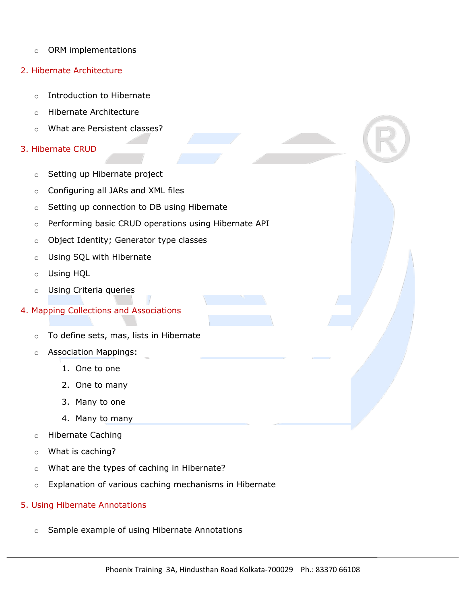- o ORM implementations
- 2. Hibernate Architecture
	- o Introduction to Hibernate
	- o Hibernate Architecture
	- o What are Persistent classes?

#### 3. Hibernate CRUD

- o Setting up Hibernate project
- o Configuring all JARs and XML files
- o Setting up connection to DB using Hibernate
- o Performing basic CRUD operations using Hibernate API
- o Object Identity; Generator type classes
- o Using SQL with Hibernate
- o Using HQL
- o Using Criteria queries

#### 4. Mapping Collections and Associations

- o To define sets, mas, lists in Hibernate
- o Association Mappings:
	- 1. One to one
	- 2. One to many
	- 3. Many to one
	- 4. Many to many
- o Hibernate Caching
- o What is caching?
- o What are the types of caching in Hibernate?
- o Explanation of various caching mechanisms in Hibernate

#### 5. Using Hibernate Annotations

o Sample example of using Hibernate Annotations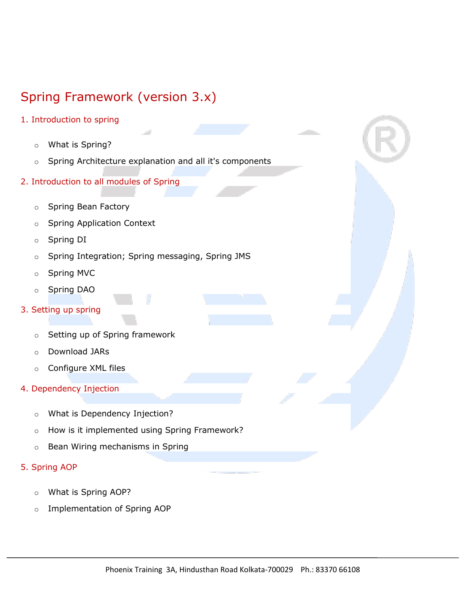## Spring Framework (version 3.x)

- 1. Introduction to spring
	- o What is Spring?
	- o Spring Architecture explanation and all it's components
- 2. Introduction to all modules of Spring
	- o Spring Bean Factory
	- o Spring Application Context
	- o Spring DI
	- o Spring Integration; Spring messaging, Spring JMS
	- o Spring MVC
	- o Spring DAO
- 3. Setting up spring
	- o Setting up of Spring framework
	- o Download JARs
	- o Configure XML files
- 4. Dependency Injection
	- o What is Dependency Injection?
	- o How is it implemented using Spring Framework?
	- o Bean Wiring mechanisms in Spring
- 5. Spring AOP
	- o What is Spring AOP?
	- o Implementation of Spring AOP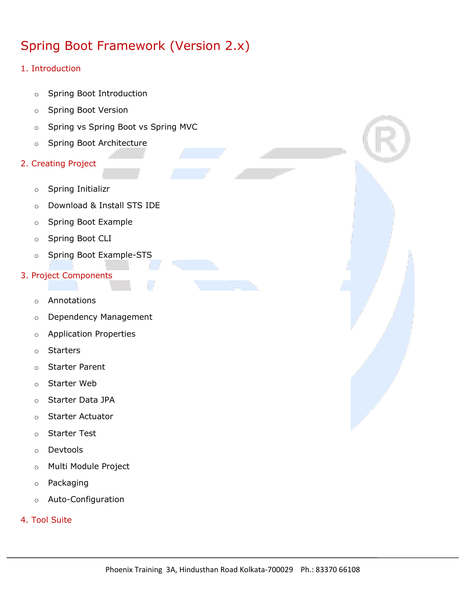## Spring Boot Framework (Version 2.x)

## 1. Introduction

- o Spring Boot Introduction
- o Spring Boot Version
- o Spring vs Spring Boot vs Spring MVC
- o Spring Boot Architecture
- 2. Creating Project
	- o Spring Initializr
	- o Download & Install STS IDE
	- o Spring Boot Example
	- o Spring Boot CLI
	- o Spring Boot Example-STS
- 3. Project Components
	- o Annotations
	- o Dependency Management
	- o Application Properties
	- o Starters
	- o Starter Parent
	- o Starter Web
	- o Starter Data JPA
	- o Starter Actuator
	- o Starter Test
	- o Devtools
	- o Multi Module Project
	- o Packaging
	- o Auto-Configuration
- 4. Tool Suite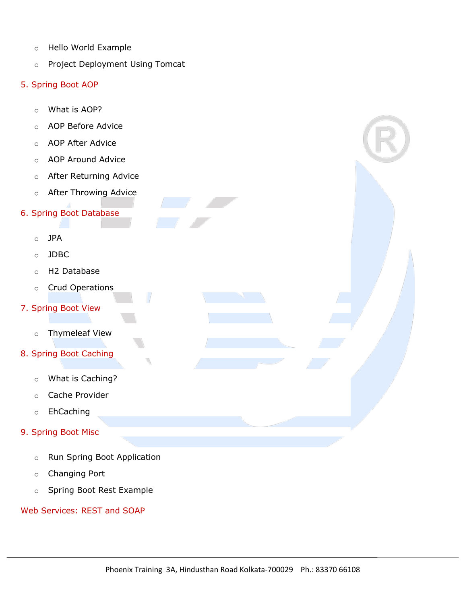- o Hello World Example
- o Project Deployment Using Tomcat
- 5. Spring Boot AOP
	- o What is AOP?
	- o AOP Before Advice
	- o AOP After Advice
	- o AOP Around Advice
	- o After Returning Advice
	- o After Throwing Advice
- 6. Spring Boot Database
	- o JPA
	- o JDBC
	- o H2 Database
	- o Crud Operations
- 7. Spring Boot View
	- o Thymeleaf View
- 8. Spring Boot Caching
	- o What is Caching?
	- o Cache Provider
	- o EhCaching
- 9. Spring Boot Misc
	- o Run Spring Boot Application
	- o Changing Port
	- o Spring Boot Rest Example

## Web Services: REST and SOAP